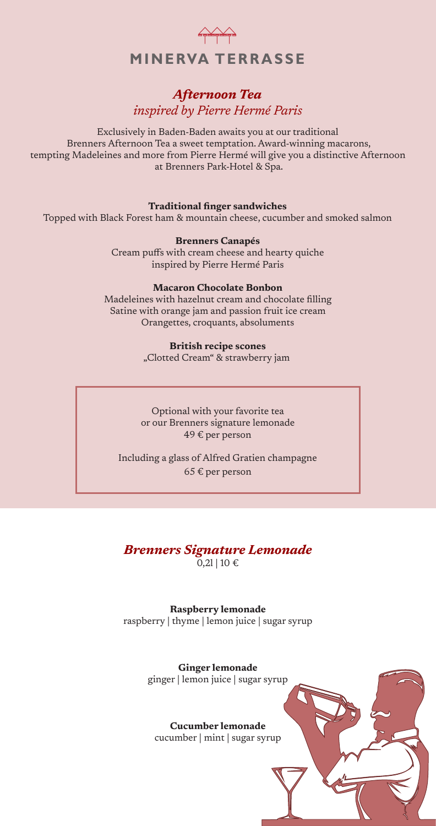

# *Afternoon Tea inspired by Pierre Hermé Paris*

Exclusively in Baden-Baden awaits you at our traditional Brenners Afternoon Tea a sweet temptation. Award-winning macarons, tempting Madeleines and more from Pierre Hermé will give you a distinctive Afternoon at Brenners Park-Hotel & Spa.

#### **Traditional finger sandwiches**

Topped with Black Forest ham & mountain cheese, cucumber and smoked salmon

**Brenners Canapés**

Cream puffs with cream cheese and hearty quiche inspired by Pierre Hermé Paris

#### **Macaron Chocolate Bonbon**

Madeleines with hazelnut cream and chocolate filling Satine with orange jam and passion fruit ice cream Orangettes, croquants, absoluments

#### **British recipe scones**

"Clotted Cream" & strawberry jam

Optional with your favorite tea or our Brenners signature lemonade 49 € per person

Including a glass of Alfred Gratien champagne  $65 \text{ } \in$  per person

#### *Brenners Signature Lemonade*  $0,2$ l | 10 €

**Raspberry lemonade** raspberry | thyme | lemon juice | sugar syrup

> **Ginger lemonade** ginger | lemon juice | sugar syrup

**Cucumber lemonade** cucumber | mint | sugar syrup